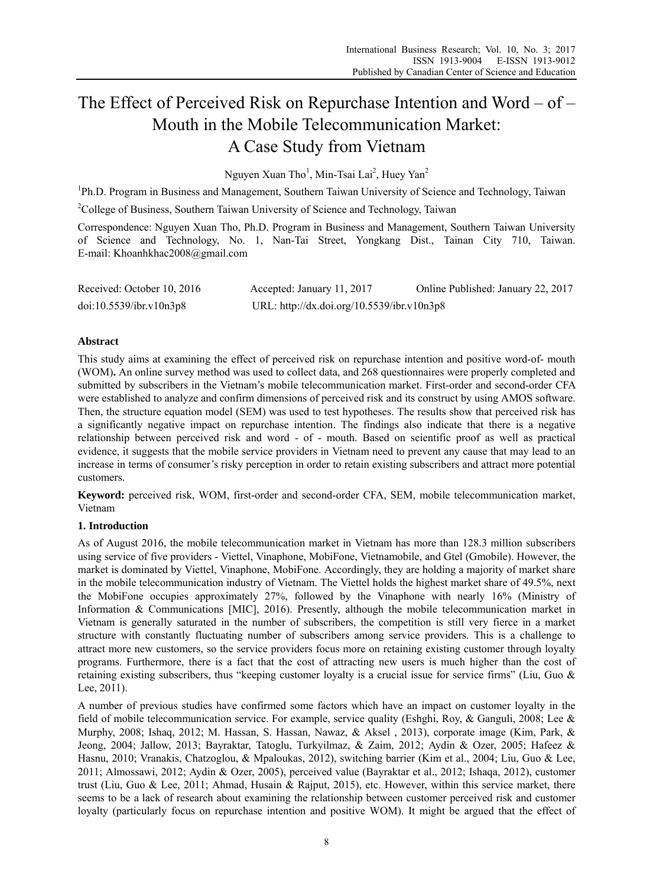# The Effect of Perceived Risk on Repurchase Intention and Word – of – Mouth in the Mobile Telecommunication Market: A Case Study from Vietnam

Nguyen Xuan Tho<sup>1</sup>, Min-Tsai Lai<sup>2</sup>, Huey Yan<sup>2</sup>

<sup>1</sup>Ph.D. Program in Business and Management, Southern Taiwan University of Science and Technology, Taiwan

<sup>2</sup>College of Business, Southern Taiwan University of Science and Technology, Taiwan

Correspondence: Nguyen Xuan Tho, Ph.D. Program in Business and Management, Southern Taiwan University of Science and Technology, No. 1, Nan-Tai Street, Yongkang Dist., Tainan City 710, Taiwan. E-mail: Khoanhkhac2008@gmail.com

| Received: October 10, 2016 | Accepted: January 11, 2017                 | Online Published: January 22, 2017 |
|----------------------------|--------------------------------------------|------------------------------------|
| doi:10.5539/ibr.v10n3p8    | URL: http://dx.doi.org/10.5539/ibr.v10n3p8 |                                    |

# **Abstract**

This study aims at examining the effect of perceived risk on repurchase intention and positive word-of- mouth (WOM)**.** An online survey method was used to collect data, and 268 questionnaires were properly completed and submitted by subscribers in the Vietnam's mobile telecommunication market. First-order and second-order CFA were established to analyze and confirm dimensions of perceived risk and its construct by using AMOS software. Then, the structure equation model (SEM) was used to test hypotheses. The results show that perceived risk has a significantly negative impact on repurchase intention. The findings also indicate that there is a negative relationship between perceived risk and word - of - mouth. Based on scientific proof as well as practical evidence, it suggests that the mobile service providers in Vietnam need to prevent any cause that may lead to an increase in terms of consumer's risky perception in order to retain existing subscribers and attract more potential customers.

**Keyword:** perceived risk, WOM, first-order and second-order CFA, SEM, mobile telecommunication market, Vietnam

## **1. Introduction**

As of August 2016, the mobile telecommunication market in Vietnam has more than 128.3 million subscribers using service of five providers - Viettel, Vinaphone, MobiFone, Vietnamobile, and Gtel (Gmobile). However, the market is dominated by Viettel, Vinaphone, MobiFone. Accordingly, they are holding a majority of market share in the mobile telecommunication industry of Vietnam. The Viettel holds the highest market share of 49.5%, next the MobiFone occupies approximately 27%, followed by the Vinaphone with nearly 16% (Ministry of Information & Communications [MIC], 2016). Presently, although the mobile telecommunication market in Vietnam is generally saturated in the number of subscribers, the competition is still very fierce in a market structure with constantly fluctuating number of subscribers among service providers. This is a challenge to attract more new customers, so the service providers focus more on retaining existing customer through loyalty programs. Furthermore, there is a fact that the cost of attracting new users is much higher than the cost of retaining existing subscribers, thus "keeping customer loyalty is a crucial issue for service firms" (Liu, Guo & Lee, 2011).

A number of previous studies have confirmed some factors which have an impact on customer loyalty in the field of mobile telecommunication service. For example, service quality (Eshghi, Roy, & Ganguli, 2008; Lee & Murphy, 2008; Ishaq, 2012; M. Hassan, S. Hassan, Nawaz, & Aksel , 2013), corporate image (Kim, Park, & Jeong, 2004; Jallow, 2013; Bayraktar, Tatoglu, Turkyilmaz, & Zaim, 2012; Aydin & Ozer, 2005; Hafeez & Hasnu, 2010; Vranakis, Chatzoglou, & Mpaloukas, 2012), switching barrier (Kim et al., 2004; Liu, Guo & Lee, 2011; Almossawi, 2012; Aydin & Ozer, 2005), perceived value (Bayraktar et al., 2012; Ishaqa, 2012), customer trust (Liu, Guo & Lee, 2011; Ahmad, Husain & Rajput, 2015), etc. However, within this service market, there seems to be a lack of research about examining the relationship between customer perceived risk and customer loyalty (particularly focus on repurchase intention and positive WOM). It might be argued that the effect of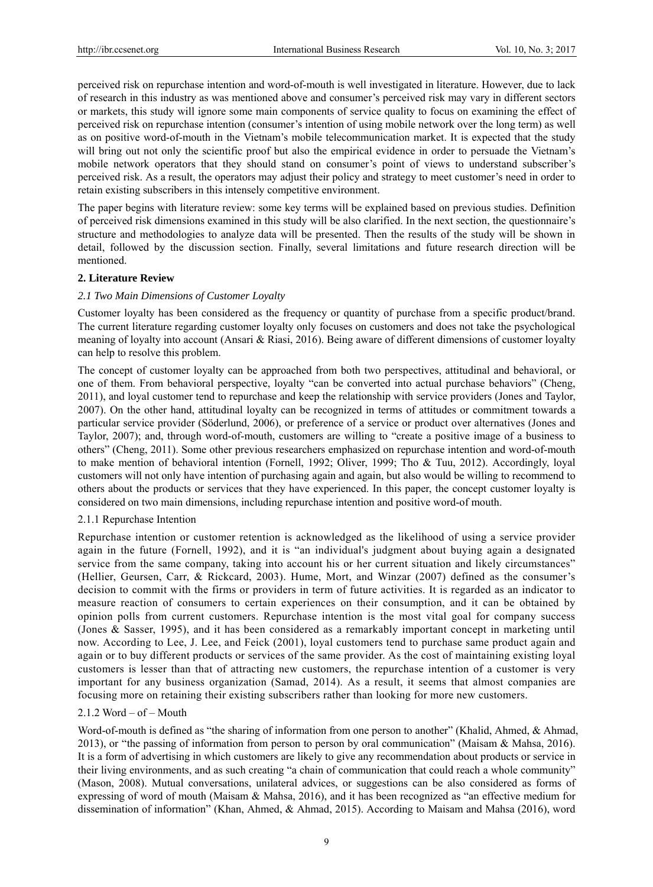perceived risk on repurchase intention and word-of-mouth is well investigated in literature. However, due to lack of research in this industry as was mentioned above and consumer's perceived risk may vary in different sectors or markets, this study will ignore some main components of service quality to focus on examining the effect of perceived risk on repurchase intention (consumer's intention of using mobile network over the long term) as well as on positive word-of-mouth in the Vietnam's mobile telecommunication market. It is expected that the study will bring out not only the scientific proof but also the empirical evidence in order to persuade the Vietnam's mobile network operators that they should stand on consumer's point of views to understand subscriber's perceived risk. As a result, the operators may adjust their policy and strategy to meet customer's need in order to retain existing subscribers in this intensely competitive environment.

The paper begins with literature review: some key terms will be explained based on previous studies. Definition of perceived risk dimensions examined in this study will be also clarified. In the next section, the questionnaire's structure and methodologies to analyze data will be presented. Then the results of the study will be shown in detail, followed by the discussion section. Finally, several limitations and future research direction will be mentioned.

# **2. Literature Review**

# *2.1 Two Main Dimensions of Customer Loyalty*

Customer loyalty has been considered as the frequency or quantity of purchase from a specific product/brand. The current literature regarding customer loyalty only focuses on customers and does not take the psychological meaning of loyalty into account (Ansari & Riasi, 2016). Being aware of different dimensions of customer loyalty can help to resolve this problem.

The concept of customer loyalty can be approached from both two perspectives, attitudinal and behavioral, or one of them. From behavioral perspective, loyalty "can be converted into actual purchase behaviors" (Cheng, 2011), and loyal customer tend to repurchase and keep the relationship with service providers (Jones and Taylor, 2007). On the other hand, attitudinal loyalty can be recognized in terms of attitudes or commitment towards a particular service provider (Söderlund, 2006), or preference of a service or product over alternatives (Jones and Taylor, 2007); and, through word-of-mouth, customers are willing to "create a positive image of a business to others" (Cheng, 2011). Some other previous researchers emphasized on repurchase intention and word-of-mouth to make mention of behavioral intention (Fornell, 1992; Oliver, 1999; Tho & Tuu, 2012). Accordingly, loyal customers will not only have intention of purchasing again and again, but also would be willing to recommend to others about the products or services that they have experienced. In this paper, the concept customer loyalty is considered on two main dimensions, including repurchase intention and positive word-of mouth.

## 2.1.1 Repurchase Intention

Repurchase intention or customer retention is acknowledged as the likelihood of using a service provider again in the future (Fornell, 1992), and it is "an individual's judgment about buying again a designated service from the same company, taking into account his or her current situation and likely circumstances" (Hellier, Geursen, Carr, & Rickcard, 2003). Hume, Mort, and Winzar (2007) defined as the consumer's decision to commit with the firms or providers in term of future activities. It is regarded as an indicator to measure reaction of consumers to certain experiences on their consumption, and it can be obtained by opinion polls from current customers. Repurchase intention is the most vital goal for company success (Jones & Sasser, 1995), and it has been considered as a remarkably important concept in marketing until now. According to Lee, J. Lee, and Feick (2001), loyal customers tend to purchase same product again and again or to buy different products or services of the same provider. As the cost of maintaining existing loyal customers is lesser than that of attracting new customers, the repurchase intention of a customer is very important for any business organization (Samad, 2014). As a result, it seems that almost companies are focusing more on retaining their existing subscribers rather than looking for more new customers.

## 2.1.2 Word – of – Mouth

Word-of-mouth is defined as "the sharing of information from one person to another" (Khalid, Ahmed, & Ahmad, 2013), or "the passing of information from person to person by oral communication" (Maisam & Mahsa, 2016). It is a form of advertising in which customers are likely to give any recommendation about products or service in their living environments, and as such creating "a chain of communication that could reach a whole community" (Mason, 2008). Mutual conversations, unilateral advices, or suggestions can be also considered as forms of expressing of word of mouth (Maisam & Mahsa, 2016), and it has been recognized as "an effective medium for dissemination of information" (Khan, Ahmed, & Ahmad, 2015). According to Maisam and Mahsa (2016), word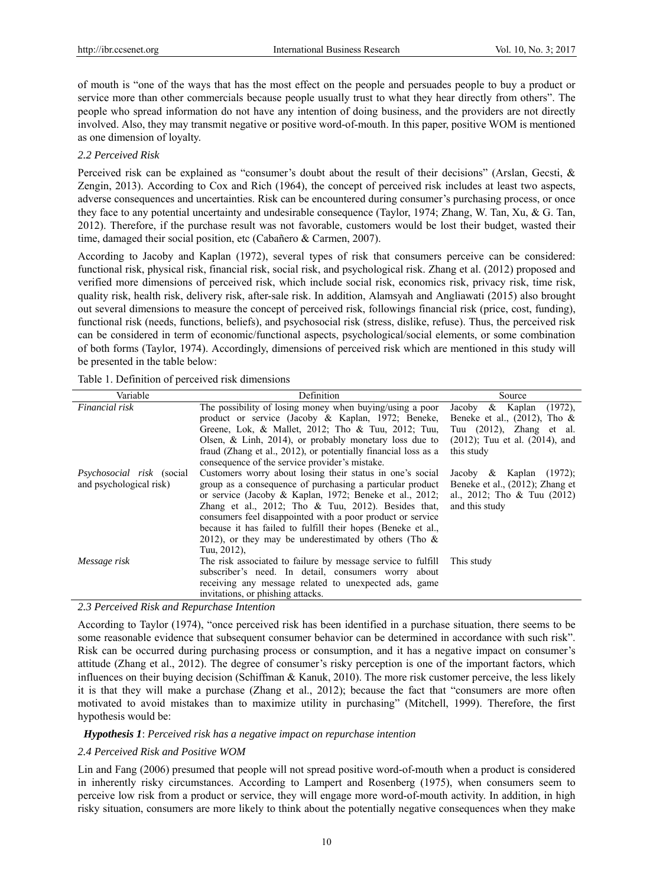of mouth is "one of the ways that has the most effect on the people and persuades people to buy a product or service more than other commercials because people usually trust to what they hear directly from others". The people who spread information do not have any intention of doing business, and the providers are not directly involved. Also, they may transmit negative or positive word-of-mouth. In this paper, positive WOM is mentioned as one dimension of loyalty.

# *2.2 Perceived Risk*

Perceived risk can be explained as "consumer's doubt about the result of their decisions" (Arslan, Gecsti, & Zengin, 2013). According to Cox and Rich (1964), the concept of perceived risk includes at least two aspects, adverse consequences and uncertainties. Risk can be encountered during consumer's purchasing process, or once they face to any potential uncertainty and undesirable consequence (Taylor, 1974; Zhang, W. Tan, Xu, & G. Tan, 2012). Therefore, if the purchase result was not favorable, customers would be lost their budget, wasted their time, damaged their social position, etc (Cabañero & Carmen, 2007).

According to Jacoby and Kaplan (1972), several types of risk that consumers perceive can be considered: functional risk, physical risk, financial risk, social risk, and psychological risk. Zhang et al. (2012) proposed and verified more dimensions of perceived risk, which include social risk, economics risk, privacy risk, time risk, quality risk, health risk, delivery risk, after-sale risk. In addition, Alamsyah and Angliawati (2015) also brought out several dimensions to measure the concept of perceived risk, followings financial risk (price, cost, funding), functional risk (needs, functions, beliefs), and psychosocial risk (stress, dislike, refuse). Thus, the perceived risk can be considered in term of economic/functional aspects, psychological/social elements, or some combination of both forms (Taylor, 1974). Accordingly, dimensions of perceived risk which are mentioned in this study will be presented in the table below:

| Table 1. Definition of perceived risk dimensions |  |  |
|--------------------------------------------------|--|--|
|--------------------------------------------------|--|--|

| Variable                         | Definition                                                     | Source                               |
|----------------------------------|----------------------------------------------------------------|--------------------------------------|
| Financial risk                   | The possibility of losing money when buying/using a poor       | Jacoby & Kaplan<br>$(1972)$ ,        |
|                                  | product or service (Jacoby & Kaplan, 1972; Beneke,             | Beneke et al., $(2012)$ , Tho &      |
|                                  | Greene, Lok, & Mallet, 2012; Tho & Tuu, 2012; Tuu,             | Tuu $(2012)$ , Zhang et al.          |
|                                  | Olsen, $\&$ Linh, 2014), or probably monetary loss due to      | $(2012)$ ; Tuu et al. $(2014)$ , and |
|                                  | fraud (Zhang et al., 2012), or potentially financial loss as a | this study                           |
|                                  | consequence of the service provider's mistake.                 |                                      |
| <i>Psychosocial risk</i> (social | Customers worry about losing their status in one's social      | Jacoby $\&$ Kaplan (1972);           |
| and psychological risk)          | group as a consequence of purchasing a particular product      | Beneke et al., (2012); Zhang et      |
|                                  | or service (Jacoby & Kaplan, 1972; Beneke et al., 2012;        | al., 2012; Tho $\&$ Tuu (2012)       |
|                                  | Zhang et al., $2012$ ; Tho & Tuu, $2012$ ). Besides that,      | and this study                       |
|                                  | consumers feel disappointed with a poor product or service     |                                      |
|                                  | because it has failed to fulfill their hopes (Beneke et al.,   |                                      |
|                                  | 2012), or they may be underestimated by others (Tho $\&$       |                                      |
|                                  | Tuu, 2012),                                                    |                                      |
| Message risk                     | The risk associated to failure by message service to fulfill   | This study                           |
|                                  | subscriber's need. In detail, consumers worry about            |                                      |
|                                  | receiving any message related to unexpected ads, game          |                                      |
|                                  | invitations, or phishing attacks.                              |                                      |
|                                  |                                                                |                                      |

# *2.3 Perceived Risk and Repurchase Intention*

According to Taylor (1974), "once perceived risk has been identified in a purchase situation, there seems to be some reasonable evidence that subsequent consumer behavior can be determined in accordance with such risk". Risk can be occurred during purchasing process or consumption, and it has a negative impact on consumer's attitude (Zhang et al., 2012). The degree of consumer's risky perception is one of the important factors, which influences on their buying decision (Schiffman & Kanuk, 2010). The more risk customer perceive, the less likely it is that they will make a purchase (Zhang et al., 2012); because the fact that "consumers are more often motivated to avoid mistakes than to maximize utility in purchasing" (Mitchell, 1999). Therefore, the first hypothesis would be:

## *Hypothesis 1*: *Perceived risk has a negative impact on repurchase intention*

## *2.4 Perceived Risk and Positive WOM*

Lin and Fang (2006) presumed that people will not spread positive word-of-mouth when a product is considered in inherently risky circumstances. According to Lampert and Rosenberg (1975), when consumers seem to perceive low risk from a product or service, they will engage more word-of-mouth activity. In addition, in high risky situation, consumers are more likely to think about the potentially negative consequences when they make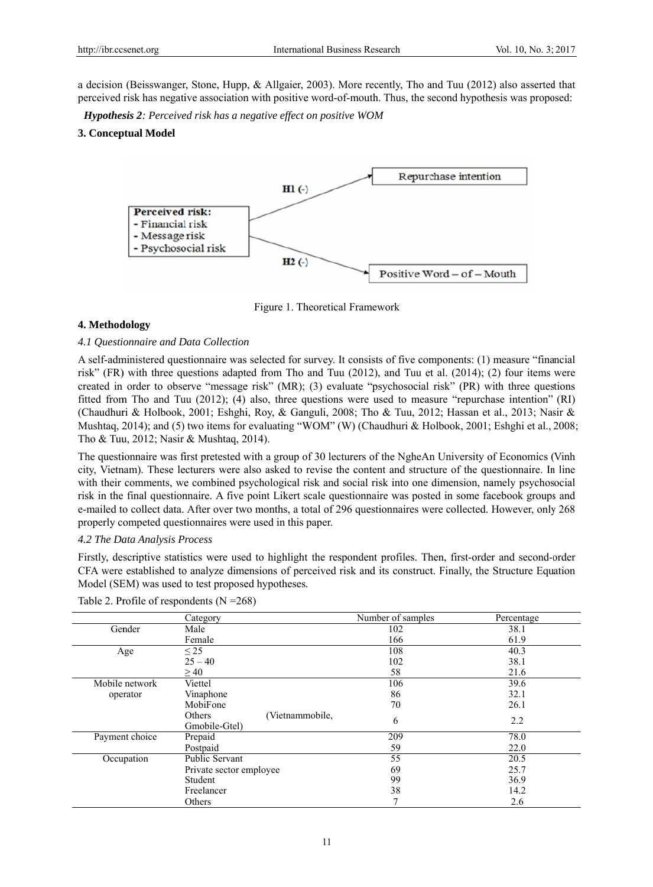a decision (Beisswanger, Stone, Hupp, & Allgaier, 2003). More recently, Tho and Tuu (2012) also asserted that perceived risk has negative association with positive word-of-mouth. Thus, the second hypothesis was proposed:

Hypothesis 2: Perceived risk has a negative effect on positive WOM

#### 3. Conceptual Model



Figure 1. Theoretical Framework

#### 4. Methodology

## 4.1 Questionnaire and Data Collection

A self-administered questionnaire was selected for survey. It consists of five components: (1) measure "financial risk" (FR) with three questions adapted from Tho and Tuu (2012), and Tuu et al. (2014); (2) four items were created in order to observe "message risk" (MR); (3) evaluate "psychosocial risk" (PR) with three questions fitted from Tho and Tuu (2012); (4) also, three questions were used to measure "repurchase intention" (RI) (Chaudhuri & Holbook, 2001; Eshghi, Roy, & Ganguli, 2008; Tho & Tuu, 2012; Hassan et al., 2013; Nasir & Mushtaq, 2014); and (5) two items for evaluating "WOM" (W) (Chaudhuri & Holbook, 2001; Eshghi et al., 2008; Tho & Tuu, 2012; Nasir & Mushtaq, 2014).

The questionnaire was first pretested with a group of 30 lecturers of the NgheAn University of Economics (Vinh city, Vietnam). These lecturers were also asked to revise the content and structure of the questionnaire. In line with their comments, we combined psychological risk and social risk into one dimension, namely psychosocial risk in the final questionnaire. A five point Likert scale questionnaire was posted in some facebook groups and e-mailed to collect data. After over two months, a total of 296 questionnaires were collected. However, only 268 properly competed questionnaires were used in this paper.

#### 4.2 The Data Analysis Process

Firstly, descriptive statistics were used to highlight the respondent profiles. Then, first-order and second-order CFA were established to analyze dimensions of perceived risk and its construct. Finally, the Structure Equation Model (SEM) was used to test proposed hypotheses.

|                | Category                  | Number of samples | Percentage |
|----------------|---------------------------|-------------------|------------|
| Gender         | Male                      | 102               | 38.1       |
|                | Female                    | 166               | 61.9       |
| Age            | $\leq$ 25                 | 108               | 40.3       |
|                | $25 - 40$                 | 102               | 38.1       |
|                | $\geq 40$                 | 58                | 21.6       |
| Mobile network | Viettel                   | 106               | 39.6       |
| operator       | Vinaphone                 | 86                | 32.1       |
|                | MobiFone                  | 70                | 26.1       |
|                | Others<br>(Vietnammobile, | 6                 | 2.2        |
|                | Gmobile-Gtel)             |                   |            |
| Payment choice | Prepaid                   | 209               | 78.0       |
|                | Postpaid                  | 59                | 22.0       |
| Occupation     | <b>Public Servant</b>     | 55                | 20.5       |
|                | Private sector employee   | 69                | 25.7       |
|                | Student                   | 99                | 36.9       |
|                | Freelancer                | 38                | 14.2       |
|                | Others                    |                   | 2.6        |

Table 2. Profile of respondents ( $N = 268$ )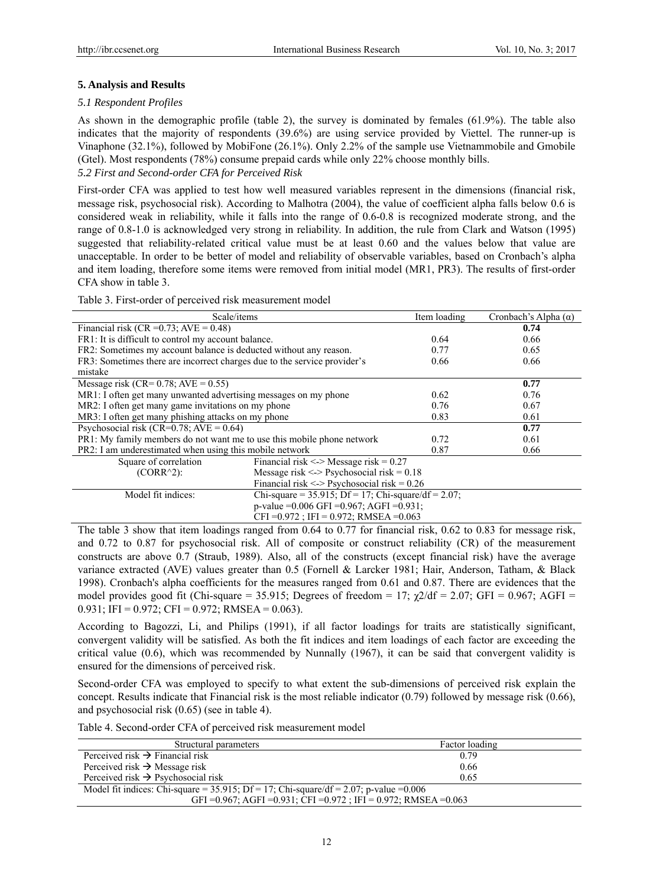# **5. Analysis and Results**

## *5.1 Respondent Profiles*

As shown in the demographic profile (table 2), the survey is dominated by females (61.9%). The table also indicates that the majority of respondents (39.6%) are using service provided by Viettel. The runner-up is Vinaphone (32.1%), followed by MobiFone (26.1%). Only 2.2% of the sample use Vietnammobile and Gmobile (Gtel). Most respondents (78%) consume prepaid cards while only 22% choose monthly bills. *5.2 First and Second-order CFA for Perceived Risk*

First-order CFA was applied to test how well measured variables represent in the dimensions (financial risk, message risk, psychosocial risk). According to Malhotra (2004), the value of coefficient alpha falls below 0.6 is considered weak in reliability, while it falls into the range of 0.6-0.8 is recognized moderate strong, and the range of 0.8-1.0 is acknowledged very strong in reliability. In addition, the rule from Clark and Watson (1995) suggested that reliability-related critical value must be at least 0.60 and the values below that value are unacceptable. In order to be better of model and reliability of observable variables, based on Cronbach's alpha and item loading, therefore some items were removed from initial model (MR1, PR3). The results of first-order CFA show in table 3.

Table 3. First-order of perceived risk measurement model

| Scale/items                                                              |                                                           | Item loading | Cronbach's Alpha $(\alpha)$ |
|--------------------------------------------------------------------------|-----------------------------------------------------------|--------------|-----------------------------|
| Financial risk (CR = $0.73$ ; AVE = $0.48$ )                             |                                                           |              | 0.74                        |
| FR1: It is difficult to control my account balance.                      |                                                           | 0.64         | 0.66                        |
| FR2: Sometimes my account balance is deducted without any reason.        |                                                           | 0.77         | 0.65                        |
| FR3: Sometimes there are incorrect charges due to the service provider's |                                                           | 0.66         | 0.66                        |
| mistake                                                                  |                                                           |              |                             |
| Message risk (CR= $0.78$ ; AVE = $0.55$ )                                |                                                           |              | 0.77                        |
| MR1: I often get many unwanted advertising messages on my phone          |                                                           | 0.62         | 0.76                        |
| MR2: I often get many game invitations on my phone                       |                                                           | 0.76         | 0.67                        |
| MR3: I often get many phishing attacks on my phone                       |                                                           | 0.83         | 0.61                        |
| Psychosocial risk (CR=0.78; AVE = $0.64$ )                               |                                                           |              | 0.77                        |
| PR1: My family members do not want me to use this mobile phone network   |                                                           | 0.72         | 0.61                        |
| PR2: I am underestimated when using this mobile network                  |                                                           | 0.87         | 0.66                        |
| Square of correlation                                                    | Financial risk <-> Message risk = $0.27$                  |              |                             |
| $(CORR^2)$ :                                                             | Message risk <-> Psychosocial risk = $0.18$               |              |                             |
|                                                                          | Financial risk <-> Psychosocial risk = $0.26$             |              |                             |
| Model fit indices:                                                       | Chi-square = $35.915$ ; Df = 17; Chi-square/df = $2.07$ ; |              |                             |
|                                                                          | p-value = $0.006$ GFI = $0.967$ ; AGFI = $0.931$ ;        |              |                             |
|                                                                          | $CFI = 0.972$ ; $IFI = 0.972$ ; RMSEA = 0.063             |              |                             |

The table 3 show that item loadings ranged from 0.64 to 0.77 for financial risk, 0.62 to 0.83 for message risk, and 0.72 to 0.87 for psychosocial risk. All of composite or construct reliability (CR) of the measurement constructs are above 0.7 (Straub, 1989). Also, all of the constructs (except financial risk) have the average variance extracted (AVE) values greater than 0.5 (Fornell & Larcker 1981; Hair, Anderson, Tatham, & Black 1998). Cronbach's alpha coefficients for the measures ranged from 0.61 and 0.87. There are evidences that the model provides good fit (Chi-square = 35.915; Degrees of freedom = 17;  $\chi$ 2/df = 2.07; GFI = 0.967; AGFI = 0.931; IFI = 0.972; CFI = 0.972; RMSEA = 0.063).

According to Bagozzi, Li, and Philips (1991), if all factor loadings for traits are statistically significant, convergent validity will be satisfied. As both the fit indices and item loadings of each factor are exceeding the critical value (0.6), which was recommended by Nunnally (1967), it can be said that convergent validity is ensured for the dimensions of perceived risk.

Second-order CFA was employed to specify to what extent the sub-dimensions of perceived risk explain the concept. Results indicate that Financial risk is the most reliable indicator (0.79) followed by message risk (0.66), and psychosocial risk (0.65) (see in table 4).

Table 4. Second-order CFA of perceived risk measurement model

| Structural parameters                                                                        | Factor loading |
|----------------------------------------------------------------------------------------------|----------------|
| Perceived risk $\rightarrow$ Financial risk                                                  | 0.79           |
| Perceived risk $\rightarrow$ Message risk                                                    | 0.66           |
| Perceived risk $\rightarrow$ Psychosocial risk                                               | 0.65           |
| Model fit indices: Chi-square = $35.915$ ; Df = 17; Chi-square/df = $2.07$ ; p-value = 0.006 |                |
| GFI = 0.967; AGFI = 0.931; CFI = 0.972; IFI = 0.972; RMSEA = 0.063                           |                |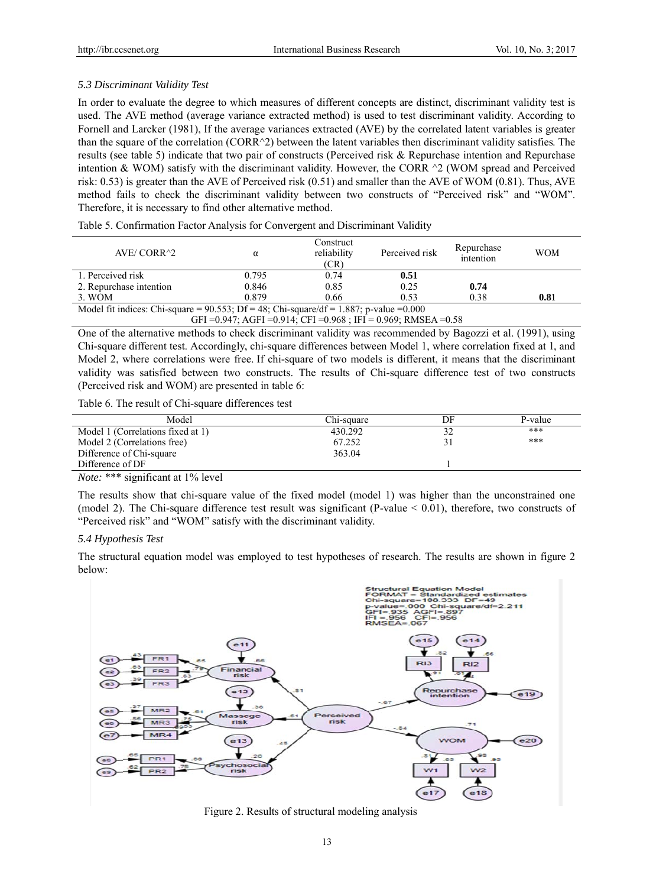# 5.3 Discriminant Validity Test

In order to evaluate the degree to which measures of different concepts are distinct, discriminant validity test is used. The AVE method (average variance extracted method) is used to test discriminant validity. According to Fornell and Larcker (1981), If the average variances extracted (AVE) by the correlated latent variables is greater than the square of the correlation (CORR^2) between the latent variables then discriminant validity satisfies. The results (see table 5) indicate that two pair of constructs (Perceived risk & Repurchase intention and Repurchase intention & WOM) satisfy with the discriminant validity. However, the CORR  $\gamma$ 2 (WOM spread and Perceived risk: 0.53) is greater than the AVE of Perceived risk  $(0.51)$  and smaller than the AVE of WOM  $(0.81)$ . Thus, AVE method fails to check the discriminant validity between two constructs of "Perceived risk" and "WOM". Therefore, it is necessary to find other alternative method.

Table 5. Confirmation Factor Analysis for Convergent and Discriminant Validity

| AVE/CORR^2                                                                                 | $\alpha$ | Construct<br>reliability<br>(CR) | Perceived risk | Repurchase<br>intention | <b>WOM</b> |
|--------------------------------------------------------------------------------------------|----------|----------------------------------|----------------|-------------------------|------------|
| 1. Perceived risk                                                                          | 0.795    | 0.74                             | 0.51           |                         |            |
| 2. Repurchase intention                                                                    | 0.846    | 0.85                             | 0.25           | 0.74                    |            |
| 3. WOM                                                                                     | 0.879    | 0.66                             | 0.53           | 0.38                    | 0.81       |
| Model fit indices: Chi-square = $90.553$ ; Df = 48; Chi-square/df = 1.887; p-value = 0.000 |          |                                  |                |                         |            |
| GFI = $0.947$ ; AGFI = $0.914$ ; CFI = $0.968$ ; IFI = $0.969$ ; RMSEA = $0.58$            |          |                                  |                |                         |            |

One of the alternative methods to check discriminant validity was recommended by Bagozzi et al. (1991), using Chi-square different test. Accordingly, chi-square differences between Model 1, where correlation fixed at 1, and Model 2, where correlations were free. If chi-square of two models is different, it means that the discriminant validity was satisfied between two constructs. The results of Chi-square difference test of two constructs (Perceived risk and WOM) are presented in table 6:

Table 6. The result of Chi-square differences test

| Model                             | Chi-square | DF  | P-value |
|-----------------------------------|------------|-----|---------|
| Model 1 (Correlations fixed at 1) | 430.292    | ے ر | $***$   |
| Model 2 (Correlations free)       | 67.252     |     | $***$   |
| Difference of Chi-square          | 363.04     |     |         |
| Difference of DF                  |            |     |         |

*Note:* \*\*\* significant at 1% level

The results show that chi-square value of the fixed model (model 1) was higher than the unconstrained one (model 2). The Chi-square difference test result was significant (P-value  $\leq 0.01$ ), therefore, two constructs of "Perceived risk" and "WOM" satisfy with the discriminant validity.

## 5.4 Hypothesis Test

The structural equation model was employed to test hypotheses of research. The results are shown in figure 2 below:



Figure 2. Results of structural modeling analysis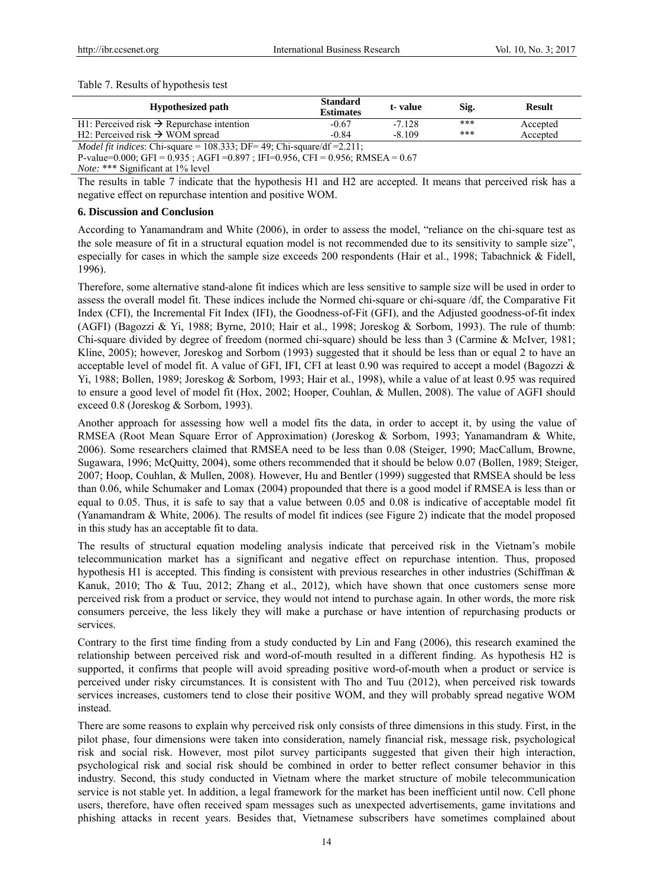#### Table 7. Results of hypothesis test

| <b>Hypothesized path</b>                                                             | <b>Standard</b><br><b>Estimates</b> | t-value  | Sig.  | <b>Result</b> |  |
|--------------------------------------------------------------------------------------|-------------------------------------|----------|-------|---------------|--|
| H1: Perceived risk $\rightarrow$ Repurchase intention                                | $-0.67$                             | $-7.128$ | $***$ | Accepted      |  |
| H2: Perceived risk $\rightarrow$ WOM spread                                          | $-0.84$                             | $-8109$  | ***   | Accepted      |  |
| <i>Model fit indices:</i> Chi-square = $108.333$ ; DF= 49; Chi-square/df = $2.211$ ; |                                     |          |       |               |  |
| P-value=0.000; GFI = 0.935; AGFI = 0.897; IFI=0.956, CFI = 0.956; RMSEA = 0.67       |                                     |          |       |               |  |

*Note:* \*\*\* Significant at 1% level

The results in table 7 indicate that the hypothesis H1 and H2 are accepted. It means that perceived risk has a negative effect on repurchase intention and positive WOM.

## **6. Discussion and Conclusion**

According to Yanamandram and White (2006), in order to assess the model, "reliance on the chi-square test as the sole measure of fit in a structural equation model is not recommended due to its sensitivity to sample size", especially for cases in which the sample size exceeds 200 respondents (Hair et al., 1998; Tabachnick & Fidell, 1996).

Therefore, some alternative stand-alone fit indices which are less sensitive to sample size will be used in order to assess the overall model fit. These indices include the Normed chi-square or chi-square /df, the Comparative Fit Index (CFI), the Incremental Fit Index (IFI), the Goodness-of-Fit (GFI), and the Adjusted goodness-of-fit index (AGFI) (Bagozzi & Yi, 1988; Byrne, 2010; Hair et al., 1998; Joreskog & Sorbom, 1993). The rule of thumb: Chi-square divided by degree of freedom (normed chi-square) should be less than 3 (Carmine & McIver, 1981; Kline, 2005); however, Joreskog and Sorbom (1993) suggested that it should be less than or equal 2 to have an acceptable level of model fit. A value of GFI, IFI, CFI at least 0.90 was required to accept a model (Bagozzi  $\&$ Yi, 1988; Bollen, 1989; Joreskog & Sorbom, 1993; Hair et al., 1998), while a value of at least 0.95 was required to ensure a good level of model fit (Hox, 2002; Hooper, Couhlan, & Mullen, 2008). The value of AGFI should exceed 0.8 (Joreskog & Sorbom, 1993).

Another approach for assessing how well a model fits the data, in order to accept it, by using the value of RMSEA (Root Mean Square Error of Approximation) (Joreskog & Sorbom, 1993; Yanamandram & White, 2006). Some researchers claimed that RMSEA need to be less than 0.08 (Steiger, 1990; MacCallum, Browne, Sugawara, 1996; McQuitty, 2004), some others recommended that it should be below 0.07 (Bollen, 1989; Steiger, 2007; Hoop, Couhlan, & Mullen, 2008). However, Hu and Bentler (1999) suggested that RMSEA should be less than 0.06, while Schumaker and Lomax (2004) propounded that there is a good model if RMSEA is less than or equal to 0.05. Thus, it is safe to say that a value between 0.05 and 0.08 is indicative of acceptable model fit (Yanamandram & White, 2006). The results of model fit indices (see Figure 2) indicate that the model proposed in this study has an acceptable fit to data.

The results of structural equation modeling analysis indicate that perceived risk in the Vietnam's mobile telecommunication market has a significant and negative effect on repurchase intention. Thus, proposed hypothesis H1 is accepted. This finding is consistent with previous researches in other industries (Schiffman & Kanuk, 2010; Tho & Tuu, 2012; Zhang et al., 2012), which have shown that once customers sense more perceived risk from a product or service, they would not intend to purchase again. In other words, the more risk consumers perceive, the less likely they will make a purchase or have intention of repurchasing products or services.

Contrary to the first time finding from a study conducted by Lin and Fang (2006), this research examined the relationship between perceived risk and word-of-mouth resulted in a different finding. As hypothesis H2 is supported, it confirms that people will avoid spreading positive word-of-mouth when a product or service is perceived under risky circumstances. It is consistent with Tho and Tuu (2012), when perceived risk towards services increases, customers tend to close their positive WOM, and they will probably spread negative WOM instead.

There are some reasons to explain why perceived risk only consists of three dimensions in this study. First, in the pilot phase, four dimensions were taken into consideration, namely financial risk, message risk, psychological risk and social risk. However, most pilot survey participants suggested that given their high interaction, psychological risk and social risk should be combined in order to better reflect consumer behavior in this industry. Second, this study conducted in Vietnam where the market structure of mobile telecommunication service is not stable yet. In addition, a legal framework for the market has been inefficient until now. Cell phone users, therefore, have often received spam messages such as unexpected advertisements, game invitations and phishing attacks in recent years. Besides that, Vietnamese subscribers have sometimes complained about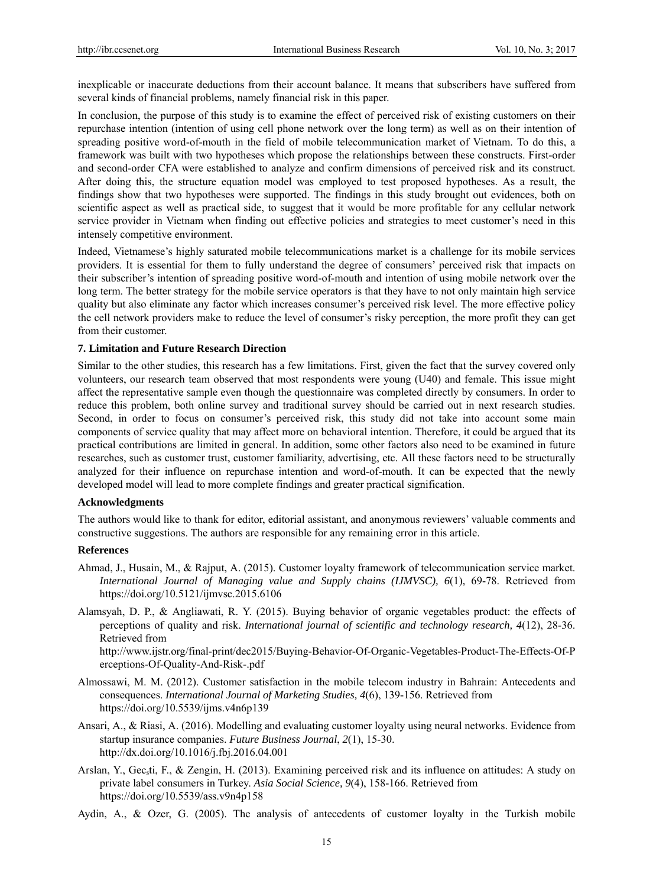inexplicable or inaccurate deductions from their account balance. It means that subscribers have suffered from several kinds of financial problems, namely financial risk in this paper.

In conclusion, the purpose of this study is to examine the effect of perceived risk of existing customers on their repurchase intention (intention of using cell phone network over the long term) as well as on their intention of spreading positive word-of-mouth in the field of mobile telecommunication market of Vietnam. To do this, a framework was built with two hypotheses which propose the relationships between these constructs. First-order and second-order CFA were established to analyze and confirm dimensions of perceived risk and its construct. After doing this, the structure equation model was employed to test proposed hypotheses. As a result, the findings show that two hypotheses were supported. The findings in this study brought out evidences, both on scientific aspect as well as practical side, to suggest that it would be more profitable for any cellular network service provider in Vietnam when finding out effective policies and strategies to meet customer's need in this intensely competitive environment.

Indeed, Vietnamese's highly saturated mobile telecommunications market is a challenge for its mobile services providers. It is essential for them to fully understand the degree of consumers' perceived risk that impacts on their subscriber's intention of spreading positive word-of-mouth and intention of using mobile network over the long term. The better strategy for the mobile service operators is that they have to not only maintain high service quality but also eliminate any factor which increases consumer's perceived risk level. The more effective policy the cell network providers make to reduce the level of consumer's risky perception, the more profit they can get from their customer.

#### **7. Limitation and Future Research Direction**

Similar to the other studies, this research has a few limitations. First, given the fact that the survey covered only volunteers, our research team observed that most respondents were young (U40) and female. This issue might affect the representative sample even though the questionnaire was completed directly by consumers. In order to reduce this problem, both online survey and traditional survey should be carried out in next research studies. Second, in order to focus on consumer's perceived risk, this study did not take into account some main components of service quality that may affect more on behavioral intention. Therefore, it could be argued that its practical contributions are limited in general. In addition, some other factors also need to be examined in future researches, such as customer trust, customer familiarity, advertising, etc. All these factors need to be structurally analyzed for their influence on repurchase intention and word-of-mouth. It can be expected that the newly developed model will lead to more complete findings and greater practical signification.

#### **Acknowledgments**

The authors would like to thank for editor, editorial assistant, and anonymous reviewers' valuable comments and constructive suggestions. The authors are responsible for any remaining error in this article.

## **References**

- Ahmad, J., Husain, M., & Rajput, A. (2015). Customer loyalty framework of telecommunication service market. *International Journal of Managing value and Supply chains (IJMVSC), 6*(1), 69-78. Retrieved from https://doi.org/10.5121/ijmvsc.2015.6106
- Alamsyah, D. P., & Angliawati, R. Y. (2015). Buying behavior of organic vegetables product: the effects of perceptions of quality and risk. *International journal of scientific and technology research, 4*(12), 28-36. Retrieved from

http://www.ijstr.org/final-print/dec2015/Buying-Behavior-Of-Organic-Vegetables-Product-The-Effects-Of-P erceptions-Of-Quality-And-Risk-.pdf

- Almossawi, M. M. (2012). Customer satisfaction in the mobile telecom industry in Bahrain: Antecedents and consequences. *International Journal of Marketing Studies, 4*(6), 139-156. Retrieved from https://doi.org/10.5539/ijms.v4n6p139
- Ansari, A., & Riasi, A. (2016). Modelling and evaluating customer loyalty using neural networks. Evidence from startup insurance companies. *Future Business Journal*, *2*(1), 15-30. http://dx.doi.org/10.1016/j.fbj.2016.04.001
- Arslan, Y., Gec<sub>s</sub>ti, F., & Zengin, H. (2013). Examining perceived risk and its influence on attitudes: A study on private label consumers in Turkey. *Asia Social Science, 9*(4), 158-166. Retrieved from https://doi.org/10.5539/ass.v9n4p158
- Aydin, A., & Ozer, G. (2005). The analysis of antecedents of customer loyalty in the Turkish mobile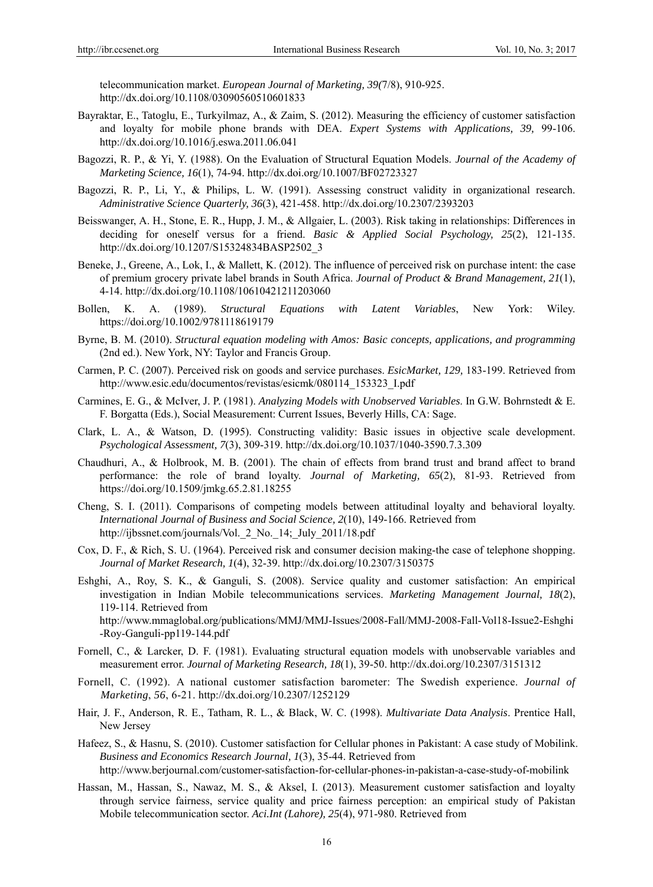telecommunication market. *European Journal of Marketing, 39(*7/8), 910-925. http://dx.doi.org/10.1108/03090560510601833

- Bayraktar, E., Tatoglu, E., Turkyilmaz, A., & Zaim, S. (2012). Measuring the efficiency of customer satisfaction and loyalty for mobile phone brands with DEA. *Expert Systems with Applications, 39,* 99-106. http://dx.doi.org/10.1016/j.eswa.2011.06.041
- Bagozzi, R. P., & Yi, Y. (1988). On the Evaluation of Structural Equation Models. *Journal of the Academy of Marketing Science, 16*(1), 74-94. http://dx.doi.org/10.1007/BF02723327
- Bagozzi, R. P., Li, Y., & Philips, L. W. (1991). Assessing construct validity in organizational research. *Administrative Science Quarterly, 36*(3), 421-458. http://dx.doi.org/10.2307/2393203
- Beisswanger, A. H., Stone, E. R., Hupp, J. M., & Allgaier, L. (2003). Risk taking in relationships: Differences in deciding for oneself versus for a friend. *Basic & Applied Social Psychology, 25*(2), 121-135. http://dx.doi.org/10.1207/S15324834BASP2502\_3
- Beneke, J., Greene, A., Lok, I., & Mallett, K. (2012). The influence of perceived risk on purchase intent: the case of premium grocery private label brands in South Africa. *Journal of Product & Brand Management, 21*(1), 4-14. http://dx.doi.org/10.1108/10610421211203060
- Bollen, K. A. (1989). *Structural Equations with Latent Variables*, New York: Wiley. https://doi.org/10.1002/9781118619179
- Byrne, B. M. (2010). *Structural equation modeling with Amos: Basic concepts, applications, and programming* (2nd ed.). New York, NY: Taylor and Francis Group.
- Carmen, P. C. (2007). Perceived risk on goods and service purchases. *EsicMarket, 129,* 183-199. Retrieved from http://www.esic.edu/documentos/revistas/esicmk/080114\_153323\_I.pdf
- Carmines, E. G., & McIver, J. P. (1981). *Analyzing Models with Unobserved Variables*. In G.W. Bohrnstedt & E. F. Borgatta (Eds.), Social Measurement: Current Issues, Beverly Hills, CA: Sage.
- Clark, L. A., & Watson, D. (1995). Constructing validity: Basic issues in objective scale development. *Psychological Assessment, 7*(3), 309-319. http://dx.doi.org/10.1037/1040-3590.7.3.309
- Chaudhuri, A., & Holbrook, M. B. (2001). The chain of effects from brand trust and brand affect to brand performance: the role of brand loyalty. *Journal of Marketing, 65*(2), 81-93. Retrieved from https://doi.org/10.1509/jmkg.65.2.81.18255
- Cheng, S. I. (2011). Comparisons of competing models between attitudinal loyalty and behavioral loyalty. *International Journal of Business and Social Science, 2*(10), 149-166. Retrieved from http://ijbssnet.com/journals/Vol. 2 No. 14; July 2011/18.pdf
- Cox, D. F., & Rich, S. U. (1964). Perceived risk and consumer decision making-the case of telephone shopping. *Journal of Market Research, 1*(4), 32-39. http://dx.doi.org/10.2307/3150375
- Eshghi, A., Roy, S. K., & Ganguli, S. (2008). Service quality and customer satisfaction: An empirical investigation in Indian Mobile telecommunications services. *Marketing Management Journal, 18*(2), 119-114. Retrieved from http://www.mmaglobal.org/publications/MMJ/MMJ-Issues/2008-Fall/MMJ-2008-Fall-Vol18-Issue2-Eshghi -Roy-Ganguli-pp119-144.pdf
- Fornell, C., & Larcker, D. F. (1981). Evaluating structural equation models with unobservable variables and measurement error. *Journal of Marketing Research, 18*(1), 39-50. http://dx.doi.org/10.2307/3151312
- Fornell, C. (1992). A national customer satisfaction barometer: The Swedish experience. *Journal of Marketing*, *56*, 6-21. http://dx.doi.org/10.2307/1252129
- Hair, J. F., Anderson, R. E., Tatham, R. L., & Black, W. C. (1998). *Multivariate Data Analysis*. Prentice Hall, New Jersey
- Hafeez, S., & Hasnu, S. (2010). Customer satisfaction for Cellular phones in Pakistant: A case study of Mobilink. *Business and Economics Research Journal, 1*(3), 35-44. Retrieved from http://www.berjournal.com/customer-satisfaction-for-cellular-phones-in-pakistan-a-case-study-of-mobilink
- Hassan, M., Hassan, S., Nawaz, M. S., & Aksel, I. (2013). Measurement customer satisfaction and loyalty through service fairness, service quality and price fairness perception: an empirical study of Pakistan Mobile telecommunication sector. *Aci.Int (Lahore), 25*(4), 971-980. Retrieved from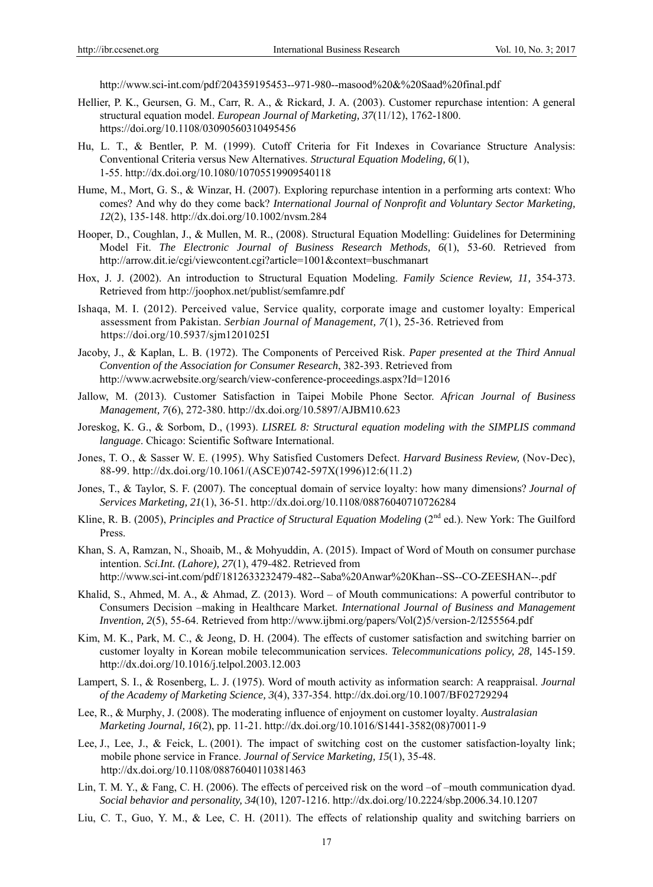http://www.sci-int.com/pdf/204359195453--971-980--masood%20&%20Saad%20final.pdf

- Hellier, P. K., Geursen, G. M., Carr, R. A., & Rickard, J. A. (2003). Customer repurchase intention: A general structural equation model. *European Journal of Marketing, 37*(11/12), 1762-1800. https://doi.org/10.1108/03090560310495456
- Hu, L. T., & Bentler, P. M. (1999). Cutoff Criteria for Fit Indexes in Covariance Structure Analysis: Conventional Criteria versus New Alternatives. *Structural Equation Modeling, 6*(1), 1-55. http://dx.doi.org/10.1080/10705519909540118
- Hume, M., Mort, G. S., & Winzar, H. (2007). Exploring repurchase intention in a performing arts context: Who comes? And why do they come back? *International Journal of Nonprofit and Voluntary Sector Marketing, 12*(2), 135-148. http://dx.doi.org/10.1002/nvsm.284
- Hooper, D., Coughlan, J., & Mullen, M. R., (2008). Structural Equation Modelling: Guidelines for Determining Model Fit. *The Electronic Journal of Business Research Methods, 6*(1), 53-60. Retrieved from http://arrow.dit.ie/cgi/viewcontent.cgi?article=1001&context=buschmanart
- Hox, J. J. (2002). An introduction to Structural Equation Modeling. *Family Science Review, 11,* 354-373. Retrieved from http://joophox.net/publist/semfamre.pdf
- Ishaqa, M. I. (2012). Perceived value, Service quality, corporate image and customer loyalty: Emperical assessment from Pakistan. *Serbian Journal of Management, 7*(1), 25-36. Retrieved from https://doi.org/10.5937/sjm1201025I
- Jacoby, J., & Kaplan, L. B. (1972). The Components of Perceived Risk. *Paper presented at the Third Annual Convention of the Association for Consumer Research*, 382-393. Retrieved from http://www.acrwebsite.org/search/view-conference-proceedings.aspx?Id=12016
- Jallow, M. (2013). Customer Satisfaction in Taipei Mobile Phone Sector. *African Journal of Business Management, 7*(6), 272-380. http://dx.doi.org/10.5897/AJBM10.623
- Joreskog, K. G., & Sorbom, D., (1993). *LISREL 8: Structural equation modeling with the SIMPLIS command language*. Chicago: Scientific Software International.
- Jones, T. O., & Sasser W. E. (1995). Why Satisfied Customers Defect. *Harvard Business Review,* (Nov-Dec), 88-99. http://dx.doi.org/10.1061/(ASCE)0742-597X(1996)12:6(11.2)
- Jones, T., & Taylor, S. F. (2007). The conceptual domain of service loyalty: how many dimensions? *Journal of Services Marketing, 21*(1), 36-51. http://dx.doi.org/10.1108/08876040710726284
- Kline, R. B. (2005), *Principles and Practice of Structural Equation Modeling* (2<sup>nd</sup> ed.). New York: The Guilford Press.
- Khan, S. A, Ramzan, N., Shoaib, M., & Mohyuddin, A. (2015). Impact of Word of Mouth on consumer purchase intention. *Sci.Int. (Lahore), 27*(1), 479-482. Retrieved from http://www.sci-int.com/pdf/1812633232479-482--Saba%20Anwar%20Khan--SS--CO-ZEESHAN--.pdf
- Khalid, S., Ahmed, M. A., & Ahmad, Z. (2013). Word of Mouth communications: A powerful contributor to Consumers Decision –making in Healthcare Market. *International Journal of Business and Management Invention, 2*(5), 55-64. Retrieved from http://www.ijbmi.org/papers/Vol(2)5/version-2/I255564.pdf
- Kim, M. K., Park, M. C., & Jeong, D. H. (2004). The effects of customer satisfaction and switching barrier on customer loyalty in Korean mobile telecommunication services. *Telecommunications policy, 28,* 145-159. http://dx.doi.org/10.1016/j.telpol.2003.12.003
- Lampert, S. I., & Rosenberg, L. J. (1975). Word of mouth activity as information search: A reappraisal. *Journal of the Academy of Marketing Science, 3*(4), 337-354. http://dx.doi.org/10.1007/BF02729294
- Lee, R., & Murphy, J. (2008). The moderating influence of enjoyment on customer loyalty. *Australasian Marketing Journal, 16*(2), pp. 11-21. http://dx.doi.org/10.1016/S1441-3582(08)70011-9
- Lee, J., Lee, J., & Feick, L. (2001). The impact of switching cost on the customer satisfaction-loyalty link; mobile phone service in France. *Journal of Service Marketing, 15*(1), 35-48. http://dx.doi.org/10.1108/08876040110381463
- Lin, T. M. Y., & Fang, C. H. (2006). The effects of perceived risk on the word –of –mouth communication dyad. *Social behavior and personality, 34*(10), 1207-1216. http://dx.doi.org/10.2224/sbp.2006.34.10.1207
- Liu, C. T., Guo, Y. M., & Lee, C. H. (2011). The effects of relationship quality and switching barriers on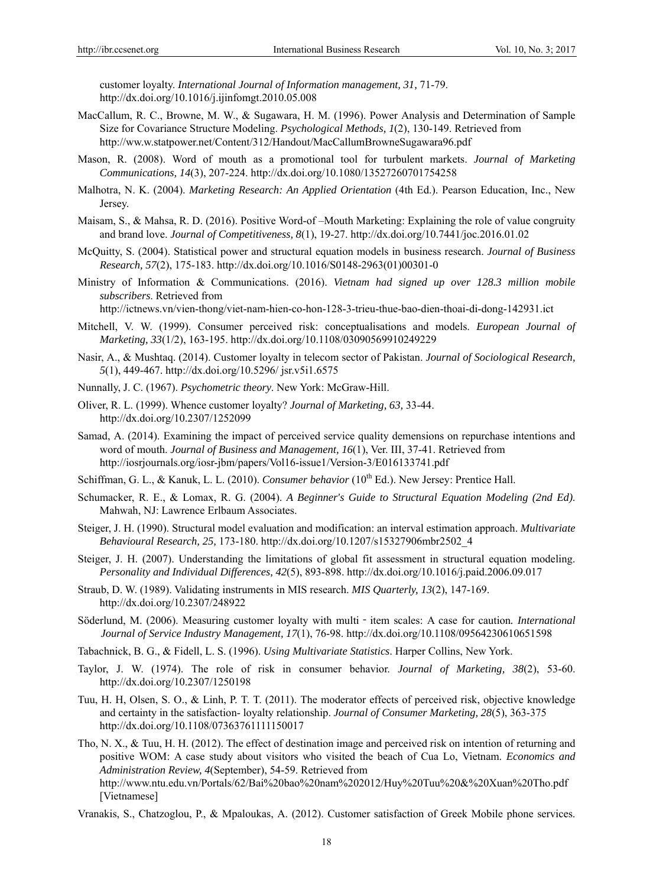customer loyalty. *International Journal of Information management, 31,* 71-79. http://dx.doi.org/10.1016/j.ijinfomgt.2010.05.008

- MacCallum, R. C., Browne, M. W., & Sugawara, H. M. (1996). Power Analysis and Determination of Sample Size for Covariance Structure Modeling. *Psychological Methods, 1*(2), 130-149. Retrieved from http://ww.w.statpower.net/Content/312/Handout/MacCallumBrowneSugawara96.pdf
- Mason, R. (2008). Word of mouth as a promotional tool for turbulent markets. *Journal of Marketing Communications, 14*(3), 207-224. http://dx.doi.org/10.1080/13527260701754258
- Malhotra, N. K. (2004). *Marketing Research: An Applied Orientation* (4th Ed.). Pearson Education, Inc., New Jersey.
- Maisam, S., & Mahsa, R. D. (2016). Positive Word-of –Mouth Marketing: Explaining the role of value congruity and brand love. *Journal of Competitiveness, 8*(1), 19-27. http://dx.doi.org/10.7441/joc.2016.01.02
- McQuitty, S. (2004). Statistical power and structural equation models in business research. *Journal of Business Research, 57*(2), 175-183. http://dx.doi.org/10.1016/S0148-2963(01)00301-0
- Ministry of Information & Communications. (2016). *Vietnam had signed up over 128.3 million mobile subscribers*. Retrieved from

http://ictnews.vn/vien-thong/viet-nam-hien-co-hon-128-3-trieu-thue-bao-dien-thoai-di-dong-142931.ict

- Mitchell, V. W. (1999). Consumer perceived risk: conceptualisations and models. *European Journal of Marketing, 33*(1/2), 163-195. http://dx.doi.org/10.1108/03090569910249229
- Nasir, A., & Mushtaq. (2014). Customer loyalty in telecom sector of Pakistan. *Journal of Sociological Research, 5*(1), 449-467. http://dx.doi.org/10.5296/ jsr.v5i1.6575
- Nunnally, J. C. (1967). *Psychometric theory*. New York: McGraw-Hill.
- Oliver, R. L. (1999). Whence customer loyalty? *Journal of Marketing, 63,* 33-44. http://dx.doi.org/10.2307/1252099
- Samad, A. (2014). Examining the impact of perceived service quality demensions on repurchase intentions and word of mouth. *Journal of Business and Management, 16*(1), Ver. III, 37-41. Retrieved from http://iosrjournals.org/iosr-jbm/papers/Vol16-issue1/Version-3/E016133741.pdf
- Schiffman, G. L., & Kanuk, L. L. (2010). *Consumer behavior* (10<sup>th</sup> Ed.). New Jersey: Prentice Hall.
- Schumacker, R. E., & Lomax, R. G. (2004). *A Beginner's Guide to Structural Equation Modeling (2nd Ed)*. Mahwah, NJ: Lawrence Erlbaum Associates.
- Steiger, J. H. (1990). Structural model evaluation and modification: an interval estimation approach. *Multivariate Behavioural Research, 25,* 173-180. http://dx.doi.org/10.1207/s15327906mbr2502\_4
- Steiger, J. H. (2007). Understanding the limitations of global fit assessment in structural equation modeling. *Personality and Individual Differences, 42*(5), 893-898. http://dx.doi.org/10.1016/j.paid.2006.09.017
- Straub, D. W. (1989). Validating instruments in MIS research. *MIS Quarterly, 13*(2), 147-169. http://dx.doi.org/10.2307/248922
- Söderlund, M. (2006). Measuring customer loyalty with multi item scales: A case for caution. *International Journal of Service Industry Management, 17*(1), 76-98. http://dx.doi.org/10.1108/09564230610651598
- Tabachnick, B. G., & Fidell, L. S. (1996). *Using Multivariate Statistics*. Harper Collins, New York.
- Taylor, J. W. (1974). The role of risk in consumer behavior. *Journal of Marketing, 38*(2), 53-60. http://dx.doi.org/10.2307/1250198
- Tuu, H. H, Olsen, S. O., & Linh, P. T. T. (2011). The moderator effects of perceived risk, objective knowledge and certainty in the satisfaction- loyalty relationship. *Journal of Consumer Marketing, 28*(5), 363-375 http://dx.doi.org/10.1108/07363761111150017
- Tho, N. X., & Tuu, H. H. (2012). The effect of destination image and perceived risk on intention of returning and positive WOM: A case study about visitors who visited the beach of Cua Lo, Vietnam. *Economics and Administration Review, 4*(September), 54-59. Retrieved from http://www.ntu.edu.vn/Portals/62/Bai%20bao%20nam%202012/Huy%20Tuu%20&%20Xuan%20Tho.pdf [Vietnamese]
- Vranakis, S., Chatzoglou, P., & Mpaloukas, A. (2012). Customer satisfaction of Greek Mobile phone services.